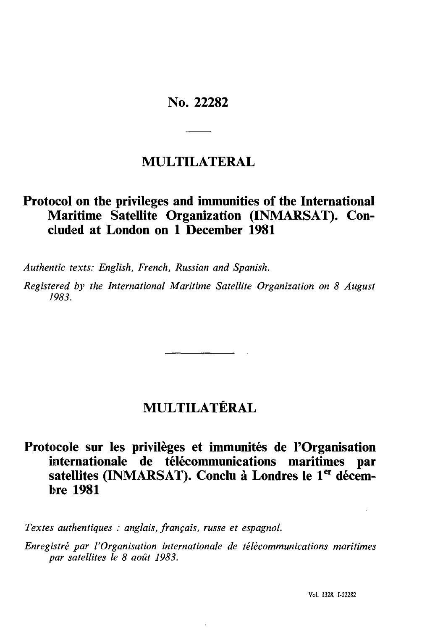## No. 22282

# **MULTILATERAL**

## Protocol on the privileges and immunities of the International Maritime Satellite Organization (INMARSAT). Concluded at London on 1 December 1981

Authentic texts: English, French, Russian and Spanish.

Registered by the International Maritime Satellite Organization on 8 August 1983.

# MULTILATÉRAL

## Protocole sur les privilèges et immunités de l'Organisation internationale de télécommunications maritimes par satellites (INMARSAT). Conclu à Londres le 1<sup>er</sup> décem**bre 1981**

Textes authentiques : anglais, français, russe et espagnol.

Enregistré par l'Organisation internationale de télécommunications maritimes par satellites le 8 août 1983.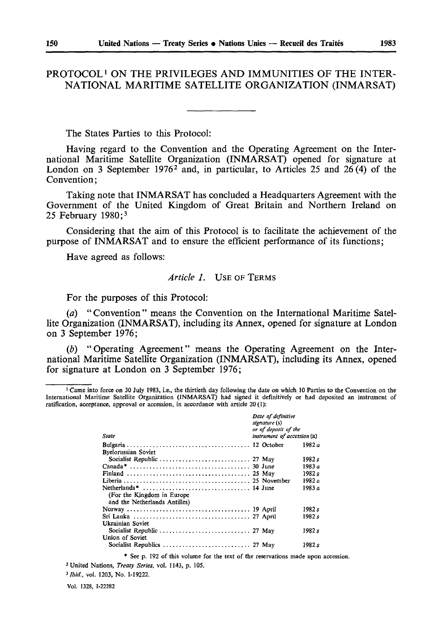## PROTOCOL<sup>1</sup> ON THE PRIVILEGES AND IMMUNITIES OF THE INTER-NATIONAL MARITIME SATELLITE ORGANIZATION (INMARSAT)

The States Parties to this Protocol:

Having regard to the Convention and the Operating Agreement on the International Maritime Satellite Organization (INMARSAT) opened for signature at London on 3 September 1976<sup>2</sup> and, in particular, to Articles 25 and 26(4) of the Convention;

Taking note that INMARSAT has concluded a Headquarters Agreement with the Government of the United Kingdom of Great Britain and Northern Ireland on 25 February  $1980;3$ 

Considering that the aim of this Protocol is to facilitate the achievement of the purpose of INMARSAT and to ensure the efficient performance of its functions;

Have agreed as follows:

## Article 1. USE OF TERMS

For the purposes of this Protocol:

(a) "Convention" means the Convention on the International Maritime Satellite Organization (INMARSAT), including its Annex, opened for signature at London on 3 September 1976;

(b) "Operating Agreement" means the Operating Agreement on the International Maritime Satellite Organization (INMARSAT), including its Annex, opened for signature at London on 3 September 1976;

<sup>&</sup>lt;sup>1</sup> Came into force on 30 July 1983, i.e., the thirtieth day following the date on which 10 Parties to the Convention on the International Maritime Satellite Organization (INMARSAT) had signed it definitively or had deposited an instrument of ratification, acceptance, approval or accession, in accordance with article 20 (1):

| State                         | Date of definitive<br>signature (s)<br>or of deposit of the<br>instrument of accession (a) |  |          |
|-------------------------------|--------------------------------------------------------------------------------------------|--|----------|
|                               |                                                                                            |  | 1982 a   |
| <b>Byelorussian Soviet</b>    |                                                                                            |  |          |
|                               |                                                                                            |  | 1982 s   |
|                               |                                                                                            |  | 1983 $a$ |
|                               |                                                                                            |  | 1982 s   |
|                               |                                                                                            |  | 1982 a   |
|                               |                                                                                            |  | ە 1983   |
| (For the Kingdom in Europe)   |                                                                                            |  |          |
| and the Netherlands Antilles) |                                                                                            |  |          |
|                               |                                                                                            |  | 1982 s   |
|                               |                                                                                            |  | 1982 s   |
| Ukrainian Soviet              |                                                                                            |  |          |
|                               |                                                                                            |  | 1982 s   |
| Union of Soviet               |                                                                                            |  |          |
|                               |                                                                                            |  | 1982 s   |

\* See p. 192 of this volume for the text of the reservations made upon accession.

<sup>2</sup> United Nations, *Treaty Series*, vol. 1143, p. 105.

<sup>3</sup> Ibid., vol. 1203, No. 1-19222.

Vol. 1328, I-22282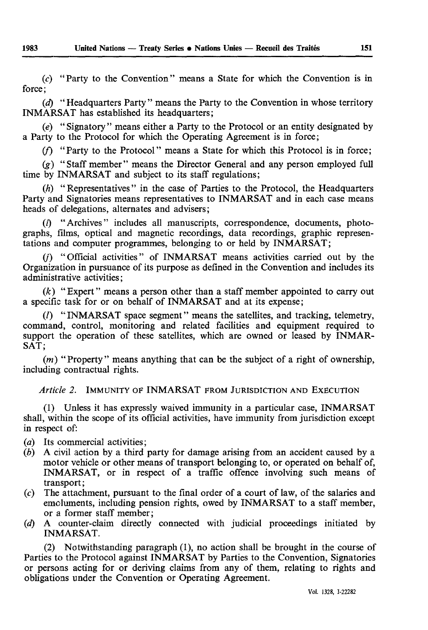(c) "Party to the Convention" means a State for which the Convention is in force;

*(d)* "Headquarters Party" means the Party to the Convention in whose territory INMARSAT has established its headquarters;

*(e)* "Signatory" means either a Party to the Protocol or an entity designated by a Party to the Protocol for which the Operating Agreement is in force;

(/) "Party to the Protocol" means a State for which this Protocol is in force;

*EÖF=*"Staff member" means the Director General and any person employed full time by INMARSAT and subject to its staff regulations;

*(h)* "Representatives" in the case of Parties to the Protocol, the Headquarters Party and Signatories means representatives to INMARSAT and in each case means heads of delegations, alternates and advisers ;

(/) "Archives" includes all manuscripts, correspondence, documents, photo graphs, films, optical and magnetic recordings, data recordings, graphic represen tations and computer programmes, belonging to or held by INMARSAT;

(/') "Official activities" of INMARSAT means activities carried out by the Organization in pursuance of its purpose as defined in the Convention and includes its administrative activities ;

*(k)* "Expert" means a person other than a staff member appointed to carry out a specific task for or on behalf of INMARSAT and at its expense;

(/) " INMARSAT space segment " means the satellites, and tracking, telemetry, command, control, monitoring and related facilities and equipment required to support the operation of these satellites, which are owned or leased by INMAR SAT;

*(m)* "Property" means anything that can be the subject of a right of ownership, including contractual rights.

## *^ êíáÅäÉ=OK=* IMMUNITY OF INMARSAT FROM JURISDICTION AND EXECUTION

(1) Unless it has expressly waived immunity in a particular case, INMARSAT shall, within the scope of its official activities, have immunity from jurisdiction except in respect of:

(*a*) Its commercial activities;

- *(b)* A civil action by a third party for damage arising from an accident caused by a motor vehicle or other means of transport belonging to, or operated on behalf of, INMARSAT, or in respect of a traffic offence involving such means of transport ;
- $(c)$  The attachment, pursuant to the final order of a court of law, of the salaries and emoluments, including pension rights, owed by INMARSAT to a staff member, or a former staff member ;
- *EÇF=* A counter-claim directly connected with judicial proceedings initiated by INMARSAT.

(2) Notwithstanding paragraph (1), no action shall be brought in the course of Parties to the Protocol against INMARSAT by Parties to the Convention, Signatories or persons acting for or deriving claims from any of them, relating to rights and obligations under the Convention or Operating Agreement.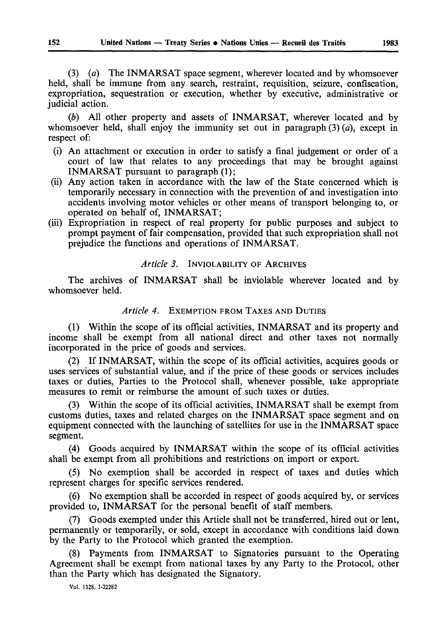(3) (a) The INMARSAT space segment, wherever located and by whomsoever held, shall be immune from any search, restraint, requisition, seizure, confiscation, expropriation, sequestration or execution, whether by executive, administrative or judicial action.

(b) All other property and assets of INMARSAT, wherever located and by whomsoever held, shall enjoy the immunity set out in paragraph  $(3)$   $(a)$ , except in respect of:

- (i) An attachment or execution in order to satisfy a final judgement or order of a court of law that relates to any proceedings that may be brought against INMARSAT pursuant to paragraph (1);
- (ii) Any action taken in accordance with the law of the State concerned which is temporarily necessary in connection with the prevention of and investigation into accidents involving motor vehicles or other means of transport belonging to, or operated on behalf of, INMARSAT;
- (iii) Expropriation in respect of real property for public purposes and subject to prompt payment of fair compensation, provided that such expropriation shall not prejudice the functions and operations of INMARSAT.

#### *Article 3.* INVIOLABILITY OF ARCHIVES

The archives of INMARSAT shall be inviolable wherever located and by whomsoever held.

#### *Article 4.* EXEMPTION FROM TAXES AND DUTIES

(1) Within the scope of its official activities, INMARSAT and its property and income shall be exempt from all national direct and other taxes not normally incorporated in the price of goods and services.

(2) If INMARSAT, within the scope of its official activities, acquires goods or uses services of substantial value, and if the price of these goods or services includes taxes or duties, Parties to the Protocol shall, whenever possible, take appropriate measures to remit or reimburse the amount of such taxes or duties.

(3) Within the scope of its official activities, INMARSAT shall be exempt from customs duties, taxes and related charges on the INMARSAT space segment and on equipment connected with the launching of satellites for use in the INMARSAT space segment.

(4) Goods acquired by INMARSAT within the scope of its official activities shall be exempt from all prohibitions and restrictions on import or export.

(5) No exemption shall be accorded in respect of taxes and duties which represent charges for specific services rendered.

(6) No exemption shall be accorded in respect of goods acquired by, or services provided to, INMARSAT for the personal benefit of staff members.

(7) Goods exempted under this Article shall not be transferred, hired out or lent, permanently or temporarily, or sold, except in accordance with conditions laid down by the Party to the Protocol which granted the exemption.

(8) Payments from INMARSAT to Signatories pursuant to the Operating Agreement shall be exempt from national taxes by any Party to the Protocol, other than the Party which has designated the Signatory.

Vol. 1328, 1-22282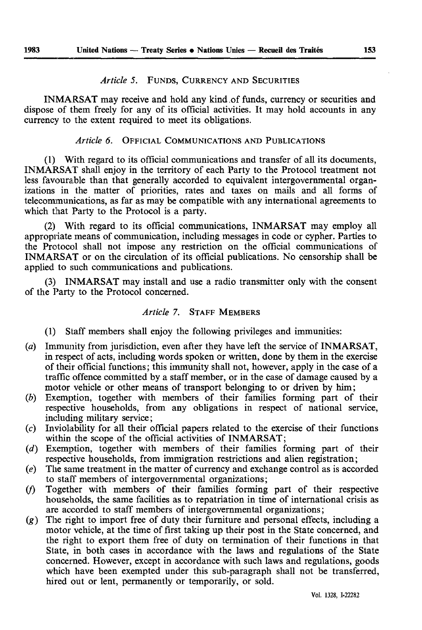#### *Article 5.* FUNDS, CURRENCY AND SECURITIES

INMARSAT may receive and hold any kind of funds, currency or securities and dispose of them freely for any of its official activities. It may hold accounts in any currency to the extent required to meet its obligations.

#### *Article 6.* OFFICIAL COMMUNICATIONS AND PUBLICATIONS

(1) With regard to its official communications and transfer of all its documents, INMARSAT shall enjoy in the territory of each Party to the Protocol treatment not less favourable than that generally accorded to equivalent intergovernmental organ izations in the matter of priorities, rates and taxes on mails and all forms of telecommunications, as far as may be compatible with any international agreements to which that Party to the Protocol is a party.

(2) With regard to its official communications, INMARSAT may employ all appropriate means of communication, including messages in code or cypher. Parties to the Protocol shall not impose any restriction on the official communications of INMARSAT or on the circulation of its official publications. No censorship shall be applied to such communications and publications.

(3) INMARSAT may install and use a radio transmitter only with the consent of the Party to the Protocol concerned.

#### *Article 7.* STAFF MEMBERS

- (1) Staff members shall enjoy the following privileges and immunities:
- *(a)* Immunity from jurisdiction, even after they have left the service of INMARSAT, in respect of acts, including words spoken or written, done by them in the exercise of their official functions ; this immunity shall not, however, apply in the case of a traffic offence committed by a staff member, or in the case of damage caused by a motor vehicle or other means of transport belonging to or driven by him;
- *EÄF=* Exemption, together with members of their families forming part of their respective households, from any obligations in respect of national service, including military service;
- (c) Inviolability for all their official papers related to the exercise of their functions within the scope of the official activities of INMARSAT;
- (d) Exemption, together with members of their families forming part of their respective households, from immigration restrictions and alien registration;
- *(e)* The same treatment in the matter of currency and exchange control as is accorded to staff members of intergovernmental organizations;
- (/) Together with members of their families forming part of their respective households, the same facilities as to repatriation in time of international crisis as are accorded to staff members of intergovernmental organizations;
- $(g)$  The right to import free of duty their furniture and personal effects, including a motor vehicle, at the time of first taking up their post in the State concerned, and the right to export them free of duty on termination of their functions in that State, in both cases in accordance with the laws and regulations of the State concerned. However, except in accordance with such laws and regulations, goods which have been exempted under this sub-paragraph shall not be transferred, hired out or lent, permanently or temporarily, or sold.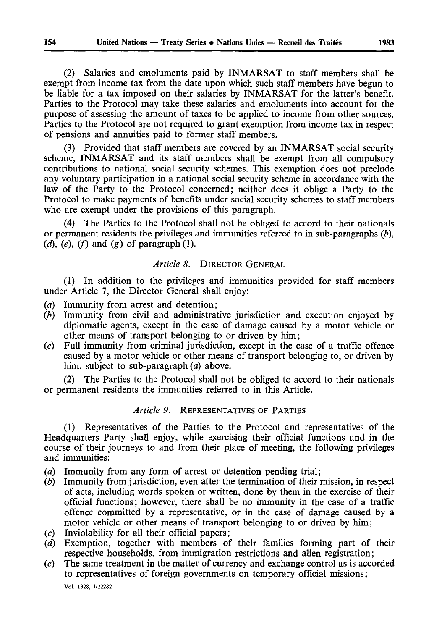(2) Salaries and emoluments paid by INMARSAT to staff members shall be exempt from income tax from the date upon which such staff members have begun to be liable for a tax imposed on their salaries by INMARSAT for the latter's benefit. Parties to the Protocol may take these salaries and emoluments into account for the purpose of assessing the amount of taxes to be applied to income from other sources. Parties to the Protocol are not required to grant exemption from income tax in respect of pensions and annuities paid to former staff members.

(3) Provided that staff members are covered by an INMARSAT social security scheme, INMARSAT and its staff members shall be exempt from all compulsory contributions to national social security schemes. This exemption does not preclude any voluntary participation in a national social security scheme in accordance with the law of the Party to the Protocol concerned; neither does it oblige a Party to the Protocol to make payments of benefits under social security schemes to staff members who are exempt under the provisions of this paragraph.

(4) The Parties to the Protocol shall not be obliged to accord to their nationals or permanent residents the privileges and immunities referred to in sub-paragraphs *(b)*,  $(d)$ ,  $(e)$ ,  $(f)$  and  $(g)$  of paragraph  $(1)$ .

#### *Article 8.* DIRECTOR GENERAL

(1) In addition to the privileges and immunities provided for staff members under Article 7, the Director General shall enjoy:

- (a) Immunity from arrest and detention;
- *(b)* Immunity from civil and administrative jurisdiction and execution enjoyed by diplomatic agents, except in the case of damage caused by a motor vehicle or other means of transport belonging to or driven by him ;
- (c) Full immunity from criminal jurisdiction, except in the case of a traffic offence caused by a motor vehicle or other means of transport belonging to, or driven by him, subject to sub-paragraph (a) above.

(2) The Parties to the Protocol shall not be obliged to accord to their nationals or permanent residents the immunities referred to in this Article.

#### *Article 9.* REPRESENTATIVES OF PARTIES

(1) Representatives of the Parties to the Protocol and representatives of the Headquarters Party shall enjoy, while exercising their official functions and in the course of their journeys to and from their place of meeting, the following privileges and immunities:

- (a) Immunity from any form of arrest or detention pending trial;
- *(b)* Immunity from jurisdiction, even after the termination of their mission, in respect of acts, including words spoken or written, done by them in the exercise of their official functions ; however, there shall be no immunity in the case of a traffic offence committed by a representative, or in the case of damage caused by a motor vehicle or other means of transport belonging to or driven by him;
- (c) Inviolability for all their official papers;
- *(d)* Exemption, together with members of their families forming part of their respective households, from immigration restrictions and alien registration;
- *(e)* The same treatment in the matter of currency and exchange control as is accorded to representatives of foreign governments on temporary official missions ; Vol. 1328, 1-22282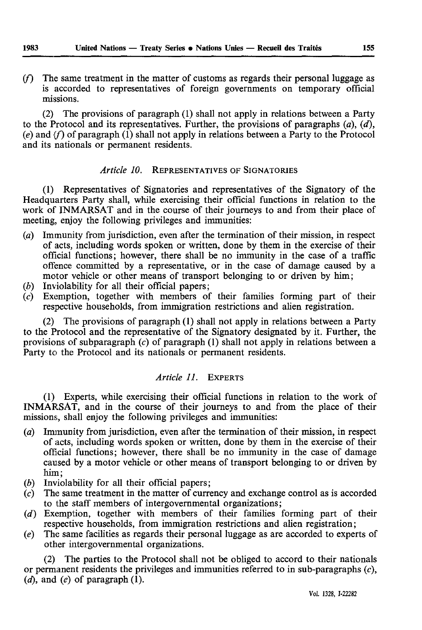*(f)* The same treatment in the matter of customs as regards their personal luggage as is accorded to representatives of foreign governments on temporary official missions.

(2) The provisions of paragraph (1) shall not apply in relations between a Party to the Protocol and its representatives. Further, the provisions of paragraphs  $(a)$ ,  $(d)$ , (e) and (f) of paragraph (1) shall not apply in relations between a Party to the Protocol and its nationals or permanent residents.

#### *Article 10.* REPRESENTATIVES OF SIGNATORIES

(1) Representatives of Signatories and representatives of the Signatory of the Headquarters Party shall, while exercising their official functions in relation to the work of INMARSAT and in the course of their journeys to and from their place of meeting, enjoy the following privileges and immunities:

- (a) Immunity from jurisdiction, even after the termination of their mission, in respect of acts, including words spoken or written, done by them in the exercise of their official functions; however, there shall be no immunity in the case of a traffic offence committed by a representative, or in the case of damage caused by a motor vehicle or other means of transport belonging to or driven by him ;
- (b) Inviolability for all their official papers;
- (c) Exemption, together with members of their families forming part of their respective households, from immigration restrictions and alien registration.

The provisions of paragraph  $(1)$  shall not apply in relations between a Party to the Protocol and the representative of the Signatory designated by it. Further, the provisions of subparagraph (c) of paragraph (1) shall not apply in relations between a Party to the Protocol and its nationals or permanent residents.

#### *^ êíáÅäÉ=NNK=* EXPERTS

(1) Experts, while exercising their official functions in relation to the work of INMARSAT, and in the course of their journeys to and from the place of their missions, shall enjoy the following privileges and immunities:

- *(a)* Immunity from jurisdiction, even after the termination of their mission, in respect of acts, including words spoken or written, done by them in the exercise of their official functions; however, there shall be no immunity in the case of damage caused by a motor vehicle or other means of transport belonging to or driven by him;
- (b) Inviolability for all their official papers;
- $(c)$  The same treatment in the matter of currency and exchange control as is accorded to the staff members of intergovernmental organizations;
- (d) Exemption, together with members of their families forming part of their respective households, from immigration restrictions and alien registration;
- *(e)* The same facilities as regards their personal luggage as are accorded to experts of other intergovernmental organizations.

(2) The parties to the Protocol shall not be obliged to accord to their nationals or permanent residents the privileges and immunities referred to in sub-paragraphs  $(c)$ , *(d)*, and *(e)* of paragraph *(1)*.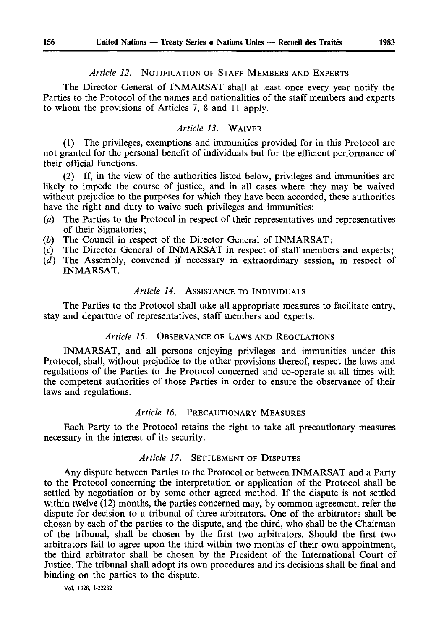#### *Article 12.* NOTIFICATION OF STAFF MEMBERS AND EXPERTS

The Director General of INMARSAT shall at least once every year notify the Parties to the Protocol of the names and nationalities of the staff members and experts to whom the provisions of Articles 7, 8 and 11 apply.

#### *^ êíáÅäÉ=NPK=* WAIVER

(1) The privileges, exemptions and immunities provided for in this Protocol are not granted for the personal benefit of individuals but for the efficient performance of their official functions.

(2) If, in the view of the authorities listed below, privileges and immunities are likely to impede the course of justice, and in all cases where they may be waived without prejudice to the purposes for which they have been accorded, these authorities have the right and duty to waive such privileges and immunities:

- (a) The Parties to the Protocol in respect of their representatives and representatives of their Signatories;
- (b) The Council in respect of the Director General of INMARSAT;
- *(c)* The Director General of INMARSAT in respect of staff members and experts;
- (d) The Assembly, convened if necessary in extraordinary session, in respect of INMARSAT.

#### *Article 14.* ASSISTANCE TO INDIVIDUALS

The Parties to the Protocol shall take all appropriate measures to facilitate entry, stay and departure of representatives, staff members and experts.

#### *Article 15.* OBSERVANCE OF LAWS AND REGULATIONS

INMARSAT, and all persons enjoying privileges and immunities under this Protocol, shall, without prejudice to the other provisions thereof, respect the laws and regulations of the Parties to the Protocol concerned and co-operate at all times with the competent authorities of those Parties in order to ensure the observance of their laws and regulations.

#### *Article 16.* PRECAUTIONARY MEASURES

Each Party to the Protocol retains the right to take all precautionary measures necessary in the interest of its security.

## *Article 17.* SETTLEMENT OF DISPUTES

Any dispute between Parties to the Protocol or between INMARSAT and a Party to the Protocol concerning the interpretation or application of the Protocol shall be settled by negotiation or by some other agreed method. If the dispute is not settled within twelve (12) months, the parties concerned may, by common agreement, refer the dispute for decision to a tribunal of three arbitrators. One of the arbitrators shall be chosen by each of the parties to the dispute, and the third, who shall be the Chairman of the tribunal, shall be chosen by the first two arbitrators. Should the first two arbitrators fail to agree upon the third within two months of their own appointment, the third arbitrator shall be chosen by the President of the International Court of Justice. The tribunal shall adopt its own procedures and its decisions shall be final and binding on the parties to the dispute.

Vol. 1328, 1-22282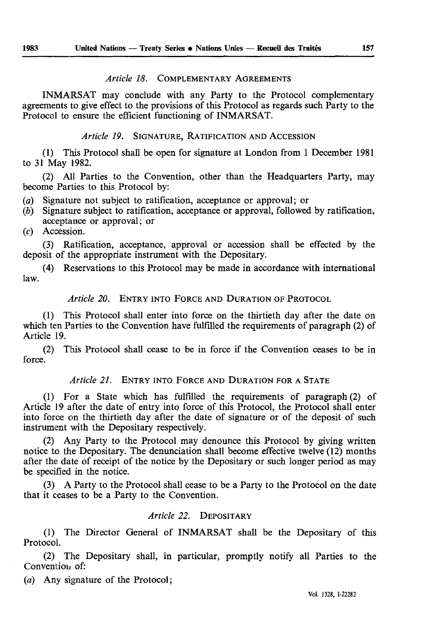#### *Article 18. COMPLEMENTARY AGREEMENTS*

INMARSAT may conclude with any Party to the Protocol complementary agreements to give effect to the provisions of this Protocol as regards such Party to the Protocol to ensure the efficient functioning of INMARSAT.

*Article 19.* SIGNATURE, RATIFICATION AND ACCESSION

(1) This Protocol shall be open for signature at London from 1 December 1981 to 31 May 1982.

(2) All Parties to the Convention, other than the Headquarters Party, may become Parties to this Protocol by:

- *(a)* Signature not subject to ratification, acceptance or approval; or *(b)* Signature subject to ratification, acceptance or approval, followed
- *E*Signature subject to ratification, acceptance or approval, followed by ratification, acceptance or approval; or

*(c)* Accession.

(3) Ratification, acceptance, approval or accession shall be effected by the deposit of the appropriate instrument with the Depositary.

(4) Reservations to this Protocol may be made in accordance with international law.

#### *Article 20.* ENTRY INTO FORCE AND DURATION OF PROTOCOL

(1) This Protocol shall enter into force on the thirtieth day after the date on which ten Parties to the Convention have fulfilled the requirements of paragraph (2) of Article 19.

(2) This Protocol shall cease to be in force if the Convention ceases to be in force.

## *Article 21.* ENTRY INTO FORCE AND DURATION FOR A STATE

(1) For a State which has fulfilled the requirements of paragraph (2) of Article 19 after the date of entry into force of this Protocol, the Protocol shall enter into force on the thirtieth day after the date of signature or of the deposit of such instrument with the Depositary respectively.

(2) Any Party to the Protocol may denounce this Protocol by giving written notice to the Depositary. The denunciation shall become effective twelve (12) months after the date of receipt of the notice by the Depositary or such longer period as may be specified in the notice.

(3) A Party to the Protocol shall cease to be a Party to the Protocol on the date that it ceases to be a Party to the Convention.

#### *Article 22.* DEPOSITARY

(1) The Director General of INMARSAT shall be the Depositary of this Protocol.

(2) The Depositary shall, in particular, promptly notify all Parties to the Convention of:

(a) Any signature of the Protocol;